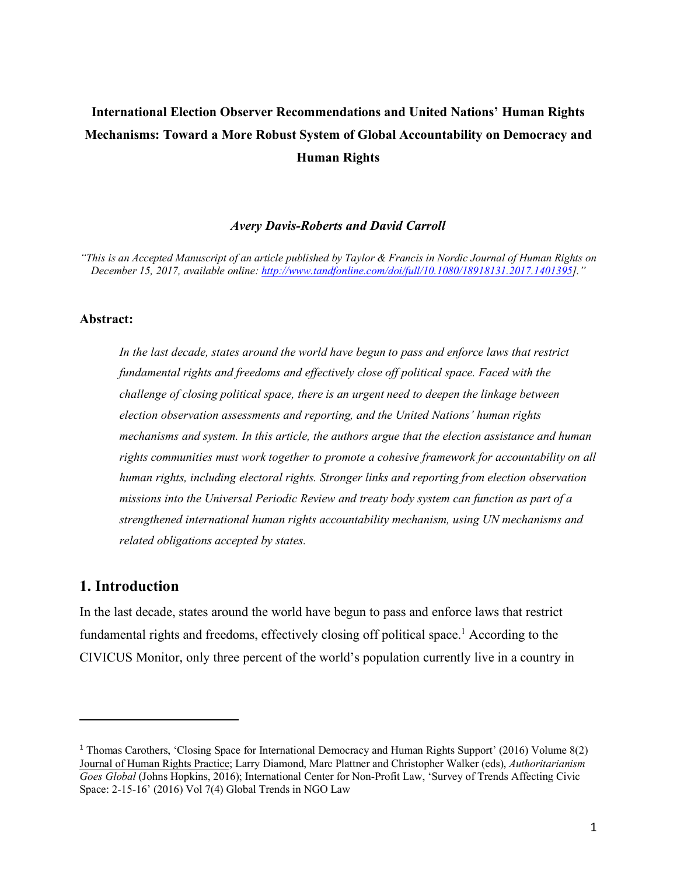# **International Election Observer Recommendations and United Nations' Human Rights Mechanisms: Toward a More Robust System of Global Accountability on Democracy and Human Rights**

#### *Avery Davis-Roberts and David Carroll*

*"This is an Accepted Manuscript of an article published by Taylor & Francis in Nordic Journal of Human Rights on December 15, 2017, available online: http://www.tandfonline.com/doi/full/10.1080/18918131.2017.1401395]."*

#### **Abstract:**

*In the last decade, states around the world have begun to pass and enforce laws that restrict fundamental rights and freedoms and effectively close off political space. Faced with the challenge of closing political space, there is an urgent need to deepen the linkage between election observation assessments and reporting, and the United Nations' human rights mechanisms and system. In this article, the authors argue that the election assistance and human rights communities must work together to promote a cohesive framework for accountability on all human rights, including electoral rights. Stronger links and reporting from election observation missions into the Universal Periodic Review and treaty body system can function as part of a strengthened international human rights accountability mechanism, using UN mechanisms and related obligations accepted by states.*

# **1. Introduction**

 $\overline{a}$ 

In the last decade, states around the world have begun to pass and enforce laws that restrict fundamental rights and freedoms, effectively closing off political space.<sup>1</sup> According to the CIVICUS Monitor, only three percent of the world's population currently live in a country in

<sup>1</sup> Thomas Carothers, 'Closing Space for International Democracy and Human Rights Support' (2016) Volume 8(2) Journal of Human Rights Practice; Larry Diamond, Marc Plattner and Christopher Walker (eds), *Authoritarianism Goes Global* (Johns Hopkins, 2016); International Center for Non-Profit Law, 'Survey of Trends Affecting Civic Space: 2-15-16' (2016) Vol 7(4) Global Trends in NGO Law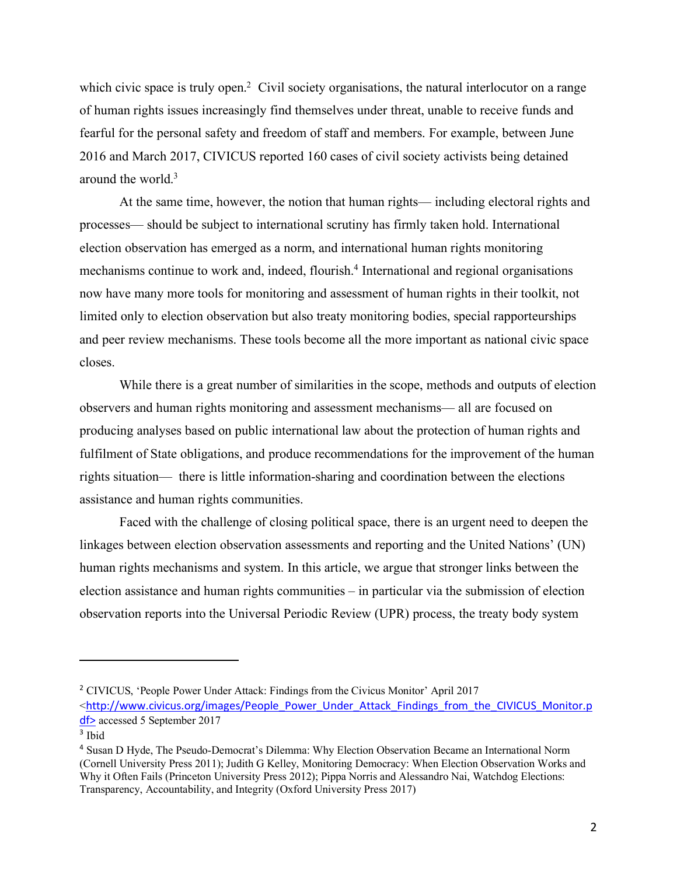which civic space is truly open.<sup>2</sup> Civil society organisations, the natural interlocutor on a range of human rights issues increasingly find themselves under threat, unable to receive funds and fearful for the personal safety and freedom of staff and members. For example, between June 2016 and March 2017, CIVICUS reported 160 cases of civil society activists being detained around the world. 3

At the same time, however, the notion that human rights— including electoral rights and processes— should be subject to international scrutiny has firmly taken hold. International election observation has emerged as a norm, and international human rights monitoring mechanisms continue to work and, indeed, flourish.<sup>4</sup> International and regional organisations now have many more tools for monitoring and assessment of human rights in their toolkit, not limited only to election observation but also treaty monitoring bodies, special rapporteurships and peer review mechanisms. These tools become all the more important as national civic space closes.

While there is a great number of similarities in the scope, methods and outputs of election observers and human rights monitoring and assessment mechanisms— all are focused on producing analyses based on public international law about the protection of human rights and fulfilment of State obligations, and produce recommendations for the improvement of the human rights situation— there is little information-sharing and coordination between the elections assistance and human rights communities.

Faced with the challenge of closing political space, there is an urgent need to deepen the linkages between election observation assessments and reporting and the United Nations' (UN) human rights mechanisms and system. In this article, we argue that stronger links between the election assistance and human rights communities – in particular via the submission of election observation reports into the Universal Periodic Review (UPR) process, the treaty body system

<sup>2</sup> CIVICUS, 'People Power Under Attack: Findings from the Civicus Monitor' April 2017

<sup>&</sup>lt;http://www.civicus.org/images/People\_Power\_Under\_Attack\_Findings\_from\_the\_CIVICUS\_Monitor.p df> accessed 5 September 2017

<sup>3</sup> Ibid

<sup>4</sup> Susan D Hyde, The Pseudo-Democrat's Dilemma: Why Election Observation Became an International Norm (Cornell University Press 2011); Judith G Kelley, Monitoring Democracy: When Election Observation Works and Why it Often Fails (Princeton University Press 2012); Pippa Norris and Alessandro Nai, Watchdog Elections: Transparency, Accountability, and Integrity (Oxford University Press 2017)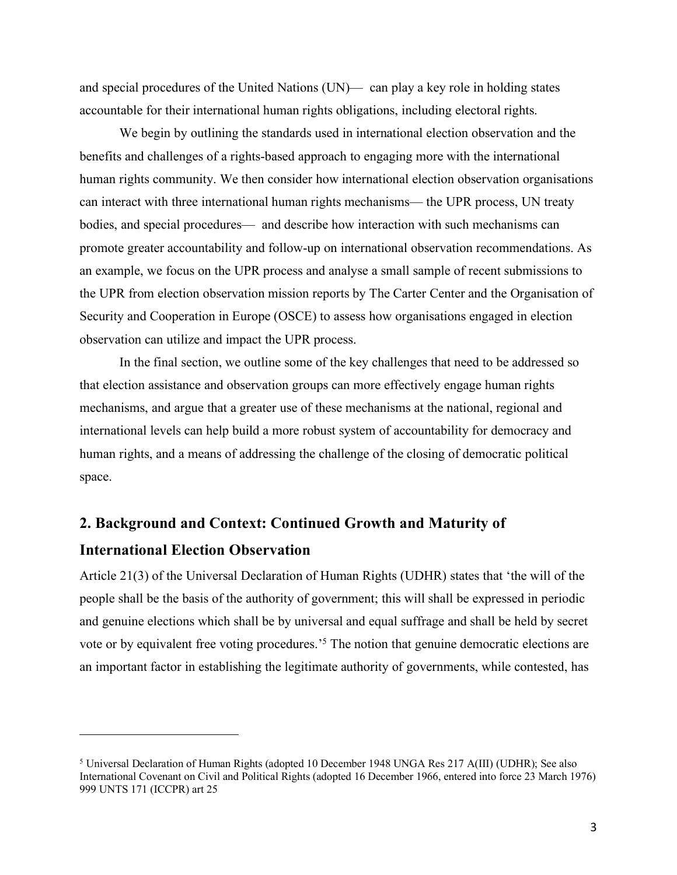and special procedures of the United Nations (UN)— can play a key role in holding states accountable for their international human rights obligations, including electoral rights.

We begin by outlining the standards used in international election observation and the benefits and challenges of a rights-based approach to engaging more with the international human rights community. We then consider how international election observation organisations can interact with three international human rights mechanisms— the UPR process, UN treaty bodies, and special procedures— and describe how interaction with such mechanisms can promote greater accountability and follow-up on international observation recommendations. As an example, we focus on the UPR process and analyse a small sample of recent submissions to the UPR from election observation mission reports by The Carter Center and the Organisation of Security and Cooperation in Europe (OSCE) to assess how organisations engaged in election observation can utilize and impact the UPR process.

In the final section, we outline some of the key challenges that need to be addressed so that election assistance and observation groups can more effectively engage human rights mechanisms, and argue that a greater use of these mechanisms at the national, regional and international levels can help build a more robust system of accountability for democracy and human rights, and a means of addressing the challenge of the closing of democratic political space.

# **2. Background and Context: Continued Growth and Maturity of International Election Observation**

 $\overline{a}$ 

Article 21(3) of the Universal Declaration of Human Rights (UDHR) states that 'the will of the people shall be the basis of the authority of government; this will shall be expressed in periodic and genuine elections which shall be by universal and equal suffrage and shall be held by secret vote or by equivalent free voting procedures.<sup>5</sup> The notion that genuine democratic elections are an important factor in establishing the legitimate authority of governments, while contested, has

<sup>5</sup> Universal Declaration of Human Rights (adopted 10 December 1948 UNGA Res 217 A(III) (UDHR); See also International Covenant on Civil and Political Rights (adopted 16 December 1966, entered into force 23 March 1976) 999 UNTS 171 (ICCPR) art 25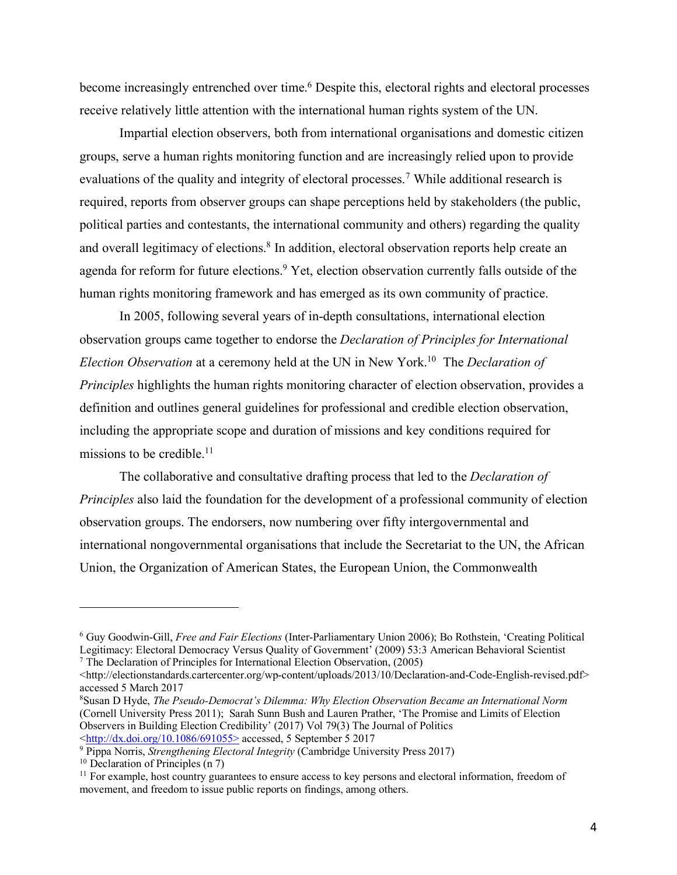become increasingly entrenched over time.<sup>6</sup> Despite this, electoral rights and electoral processes receive relatively little attention with the international human rights system of the UN.

Impartial election observers, both from international organisations and domestic citizen groups, serve a human rights monitoring function and are increasingly relied upon to provide evaluations of the quality and integrity of electoral processes.<sup>7</sup> While additional research is required, reports from observer groups can shape perceptions held by stakeholders (the public, political parties and contestants, the international community and others) regarding the quality and overall legitimacy of elections. <sup>8</sup> In addition, electoral observation reports help create an agenda for reform for future elections.<sup>9</sup> Yet, election observation currently falls outside of the human rights monitoring framework and has emerged as its own community of practice.

In 2005, following several years of in-depth consultations, international election observation groups came together to endorse the *Declaration of Principles for International Election Observation* at a ceremony held at the UN in New York.10 The *Declaration of Principles* highlights the human rights monitoring character of election observation, provides a definition and outlines general guidelines for professional and credible election observation, including the appropriate scope and duration of missions and key conditions required for missions to be credible. 11

The collaborative and consultative drafting process that led to the *Declaration of Principles* also laid the foundation for the development of a professional community of election observation groups. The endorsers, now numbering over fifty intergovernmental and international nongovernmental organisations that include the Secretariat to the UN, the African Union, the Organization of American States, the European Union, the Commonwealth

<sup>6</sup> Guy Goodwin-Gill, *Free and Fair Elections* (Inter-Parliamentary Union 2006); Bo Rothstein, 'Creating Political Legitimacy: Electoral Democracy Versus Quality of Government' (2009) 53:3 American Behavioral Scientist <sup>7</sup> The Declaration of Principles for International Election Observation, (2005)

<sup>&</sup>lt;http://electionstandards.cartercenter.org/wp-content/uploads/2013/10/Declaration-and-Code-English-revised.pdf> accessed 5 March 2017

<sup>8</sup> Susan D Hyde, *The Pseudo-Democrat's Dilemma: Why Election Observation Became an International Norm*  (Cornell University Press 2011); Sarah Sunn Bush and Lauren Prather, 'The Promise and Limits of Election Observers in Building Election Credibility' (2017) Vol 79(3) The Journal of Politics  $\frac{\text{th}}{\text{t}}/|\text{dx.doi.org}/10.1086/691055$  accessed, 5 September 5 2017

<sup>9</sup> Pippa Norris, *Strengthening Electoral Integrity* (Cambridge University Press 2017)

<sup>&</sup>lt;sup>10</sup> Declaration of Principles  $(n 7)$ 

<sup>&</sup>lt;sup>11</sup> For example, host country guarantees to ensure access to key persons and electoral information, freedom of movement, and freedom to issue public reports on findings, among others.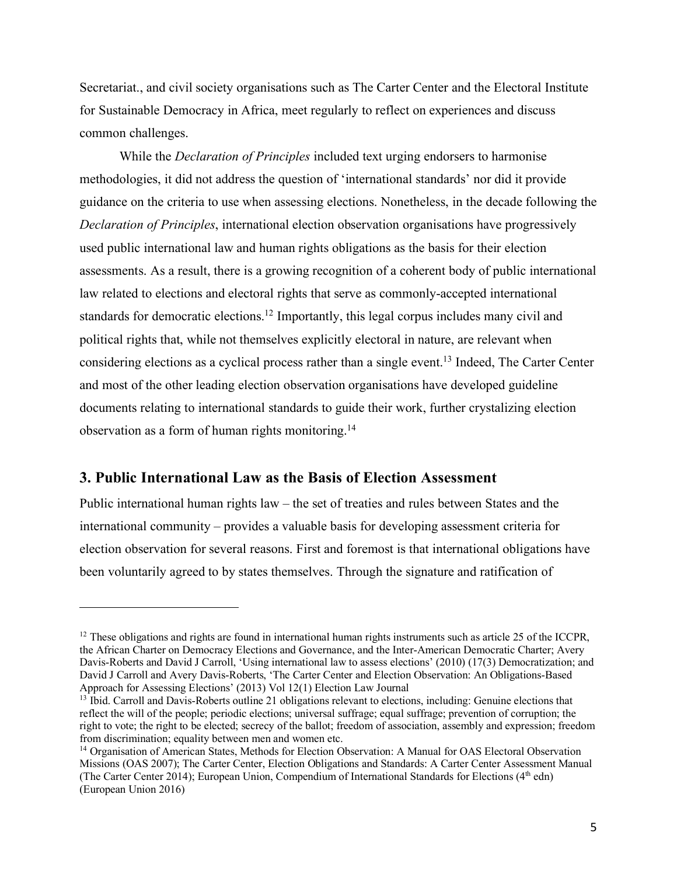Secretariat., and civil society organisations such as The Carter Center and the Electoral Institute for Sustainable Democracy in Africa, meet regularly to reflect on experiences and discuss common challenges.

While the *Declaration of Principles* included text urging endorsers to harmonise methodologies, it did not address the question of 'international standards' nor did it provide guidance on the criteria to use when assessing elections. Nonetheless, in the decade following the *Declaration of Principles*, international election observation organisations have progressively used public international law and human rights obligations as the basis for their election assessments. As a result, there is a growing recognition of a coherent body of public international law related to elections and electoral rights that serve as commonly-accepted international standards for democratic elections.<sup>12</sup> Importantly, this legal corpus includes many civil and political rights that, while not themselves explicitly electoral in nature, are relevant when considering elections as a cyclical process rather than a single event.13 Indeed, The Carter Center and most of the other leading election observation organisations have developed guideline documents relating to international standards to guide their work, further crystalizing election observation as a form of human rights monitoring.<sup>14</sup>

# **3. Public International Law as the Basis of Election Assessment**

 $\overline{a}$ 

Public international human rights law – the set of treaties and rules between States and the international community – provides a valuable basis for developing assessment criteria for election observation for several reasons. First and foremost is that international obligations have been voluntarily agreed to by states themselves. Through the signature and ratification of

 $12$  These obligations and rights are found in international human rights instruments such as article 25 of the ICCPR, the African Charter on Democracy Elections and Governance, and the Inter-American Democratic Charter; Avery Davis-Roberts and David J Carroll, 'Using international law to assess elections' (2010) (17(3) Democratization; and David J Carroll and Avery Davis-Roberts, 'The Carter Center and Election Observation: An Obligations-Based Approach for Assessing Elections' (2013) Vol 12(1) Election Law Journal

<sup>&</sup>lt;sup>13</sup> Ibid. Carroll and Davis-Roberts outline 21 obligations relevant to elections, including: Genuine elections that reflect the will of the people; periodic elections; universal suffrage; equal suffrage; prevention of corruption; the right to vote; the right to be elected; secrecy of the ballot; freedom of association, assembly and expression; freedom from discrimination; equality between men and women etc.

<sup>&</sup>lt;sup>14</sup> Organisation of American States, Methods for Election Observation: A Manual for OAS Electoral Observation Missions (OAS 2007); The Carter Center, Election Obligations and Standards: A Carter Center Assessment Manual (The Carter Center 2014); European Union, Compendium of International Standards for Elections (4th edn) (European Union 2016)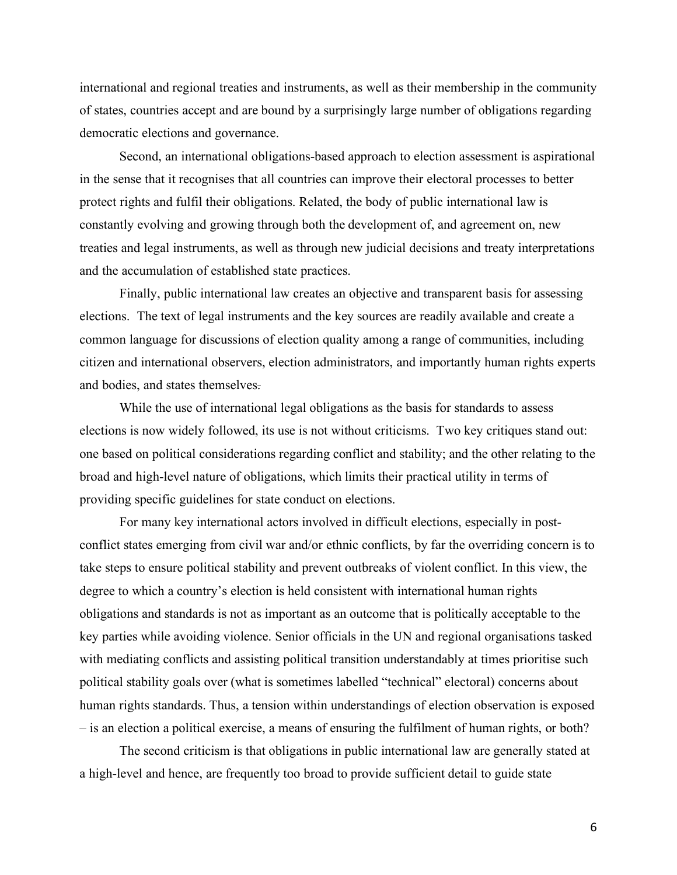international and regional treaties and instruments, as well as their membership in the community of states, countries accept and are bound by a surprisingly large number of obligations regarding democratic elections and governance.

Second, an international obligations-based approach to election assessment is aspirational in the sense that it recognises that all countries can improve their electoral processes to better protect rights and fulfil their obligations. Related, the body of public international law is constantly evolving and growing through both the development of, and agreement on, new treaties and legal instruments, as well as through new judicial decisions and treaty interpretations and the accumulation of established state practices.

Finally, public international law creates an objective and transparent basis for assessing elections. The text of legal instruments and the key sources are readily available and create a common language for discussions of election quality among a range of communities, including citizen and international observers, election administrators, and importantly human rights experts and bodies, and states themselves.

While the use of international legal obligations as the basis for standards to assess elections is now widely followed, its use is not without criticisms. Two key critiques stand out: one based on political considerations regarding conflict and stability; and the other relating to the broad and high-level nature of obligations, which limits their practical utility in terms of providing specific guidelines for state conduct on elections.

For many key international actors involved in difficult elections, especially in postconflict states emerging from civil war and/or ethnic conflicts, by far the overriding concern is to take steps to ensure political stability and prevent outbreaks of violent conflict. In this view, the degree to which a country's election is held consistent with international human rights obligations and standards is not as important as an outcome that is politically acceptable to the key parties while avoiding violence. Senior officials in the UN and regional organisations tasked with mediating conflicts and assisting political transition understandably at times prioritise such political stability goals over (what is sometimes labelled "technical" electoral) concerns about human rights standards. Thus, a tension within understandings of election observation is exposed – is an election a political exercise, a means of ensuring the fulfilment of human rights, or both?

The second criticism is that obligations in public international law are generally stated at a high-level and hence, are frequently too broad to provide sufficient detail to guide state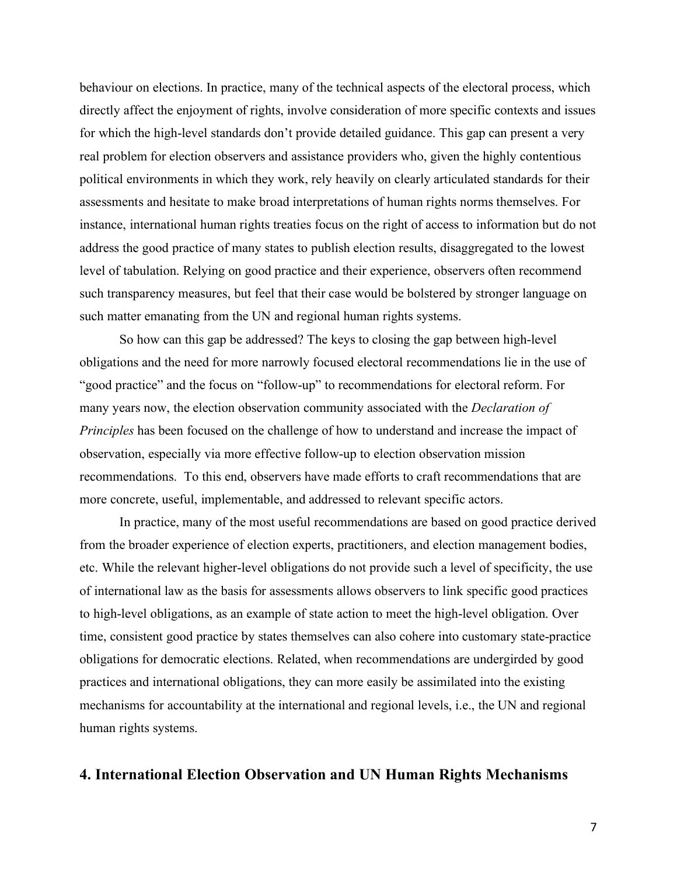behaviour on elections. In practice, many of the technical aspects of the electoral process, which directly affect the enjoyment of rights, involve consideration of more specific contexts and issues for which the high-level standards don't provide detailed guidance. This gap can present a very real problem for election observers and assistance providers who, given the highly contentious political environments in which they work, rely heavily on clearly articulated standards for their assessments and hesitate to make broad interpretations of human rights norms themselves. For instance, international human rights treaties focus on the right of access to information but do not address the good practice of many states to publish election results, disaggregated to the lowest level of tabulation. Relying on good practice and their experience, observers often recommend such transparency measures, but feel that their case would be bolstered by stronger language on such matter emanating from the UN and regional human rights systems.

So how can this gap be addressed? The keys to closing the gap between high-level obligations and the need for more narrowly focused electoral recommendations lie in the use of "good practice" and the focus on "follow-up" to recommendations for electoral reform. For many years now, the election observation community associated with the *Declaration of Principles* has been focused on the challenge of how to understand and increase the impact of observation, especially via more effective follow-up to election observation mission recommendations. To this end, observers have made efforts to craft recommendations that are more concrete, useful, implementable, and addressed to relevant specific actors.

In practice, many of the most useful recommendations are based on good practice derived from the broader experience of election experts, practitioners, and election management bodies, etc. While the relevant higher-level obligations do not provide such a level of specificity, the use of international law as the basis for assessments allows observers to link specific good practices to high-level obligations, as an example of state action to meet the high-level obligation. Over time, consistent good practice by states themselves can also cohere into customary state-practice obligations for democratic elections. Related, when recommendations are undergirded by good practices and international obligations, they can more easily be assimilated into the existing mechanisms for accountability at the international and regional levels, i.e., the UN and regional human rights systems.

# **4. International Election Observation and UN Human Rights Mechanisms**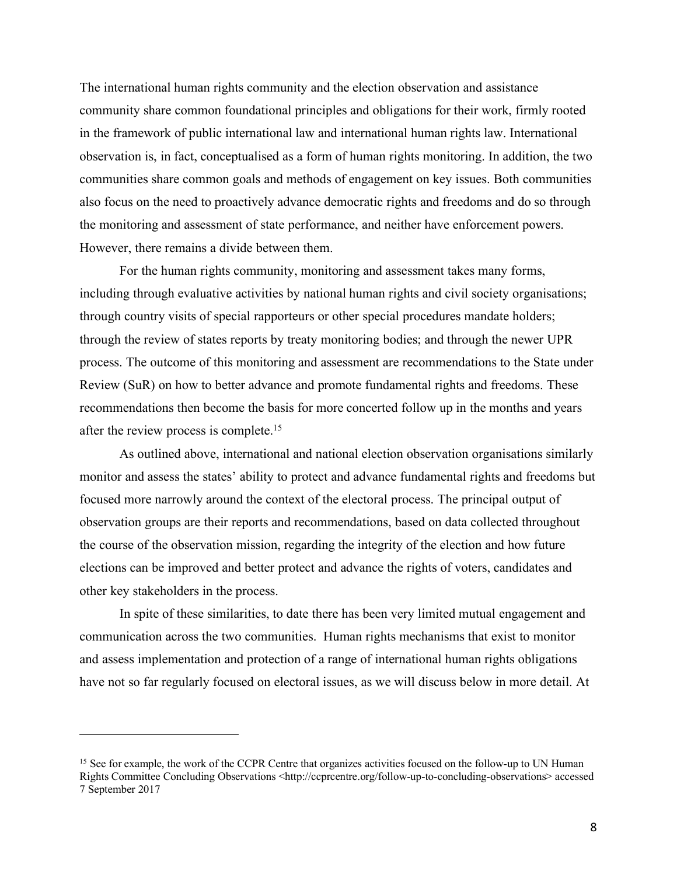The international human rights community and the election observation and assistance community share common foundational principles and obligations for their work, firmly rooted in the framework of public international law and international human rights law. International observation is, in fact, conceptualised as a form of human rights monitoring. In addition, the two communities share common goals and methods of engagement on key issues. Both communities also focus on the need to proactively advance democratic rights and freedoms and do so through the monitoring and assessment of state performance, and neither have enforcement powers. However, there remains a divide between them.

For the human rights community, monitoring and assessment takes many forms, including through evaluative activities by national human rights and civil society organisations; through country visits of special rapporteurs or other special procedures mandate holders; through the review of states reports by treaty monitoring bodies; and through the newer UPR process. The outcome of this monitoring and assessment are recommendations to the State under Review (SuR) on how to better advance and promote fundamental rights and freedoms. These recommendations then become the basis for more concerted follow up in the months and years after the review process is complete.15

As outlined above, international and national election observation organisations similarly monitor and assess the states' ability to protect and advance fundamental rights and freedoms but focused more narrowly around the context of the electoral process. The principal output of observation groups are their reports and recommendations, based on data collected throughout the course of the observation mission, regarding the integrity of the election and how future elections can be improved and better protect and advance the rights of voters, candidates and other key stakeholders in the process.

In spite of these similarities, to date there has been very limited mutual engagement and communication across the two communities. Human rights mechanisms that exist to monitor and assess implementation and protection of a range of international human rights obligations have not so far regularly focused on electoral issues, as we will discuss below in more detail. At

<sup>&</sup>lt;sup>15</sup> See for example, the work of the CCPR Centre that organizes activities focused on the follow-up to UN Human Rights Committee Concluding Observations <http://ccprcentre.org/follow-up-to-concluding-observations> accessed 7 September 2017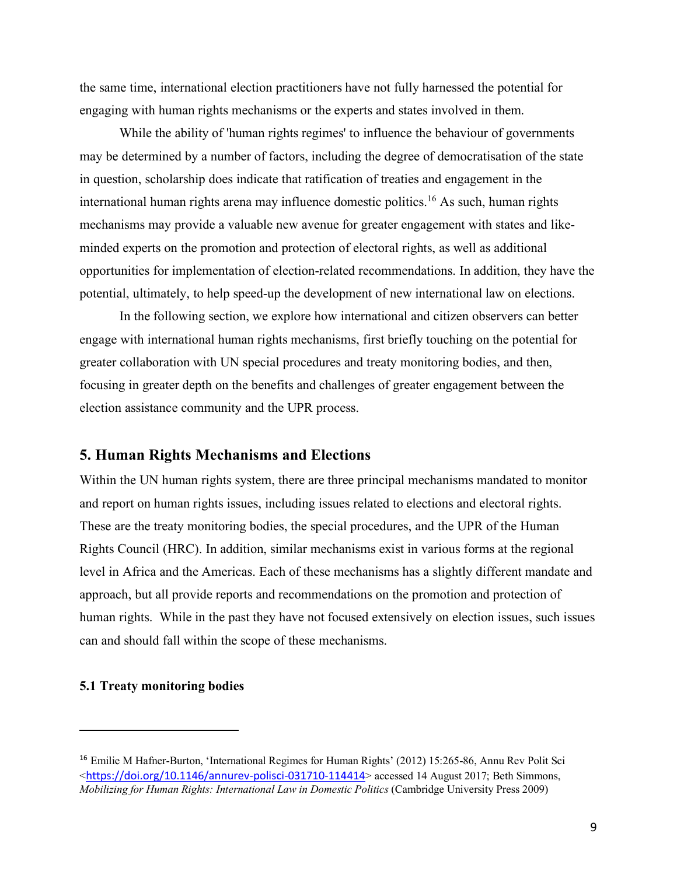the same time, international election practitioners have not fully harnessed the potential for engaging with human rights mechanisms or the experts and states involved in them.

While the ability of 'human rights regimes' to influence the behaviour of governments may be determined by a number of factors, including the degree of democratisation of the state in question, scholarship does indicate that ratification of treaties and engagement in the international human rights arena may influence domestic politics. <sup>16</sup> As such, human rights mechanisms may provide a valuable new avenue for greater engagement with states and likeminded experts on the promotion and protection of electoral rights, as well as additional opportunities for implementation of election-related recommendations. In addition, they have the potential, ultimately, to help speed-up the development of new international law on elections.

In the following section, we explore how international and citizen observers can better engage with international human rights mechanisms, first briefly touching on the potential for greater collaboration with UN special procedures and treaty monitoring bodies, and then, focusing in greater depth on the benefits and challenges of greater engagement between the election assistance community and the UPR process.

## **5. Human Rights Mechanisms and Elections**

Within the UN human rights system, there are three principal mechanisms mandated to monitor and report on human rights issues, including issues related to elections and electoral rights. These are the treaty monitoring bodies, the special procedures, and the UPR of the Human Rights Council (HRC). In addition, similar mechanisms exist in various forms at the regional level in Africa and the Americas. Each of these mechanisms has a slightly different mandate and approach, but all provide reports and recommendations on the promotion and protection of human rights. While in the past they have not focused extensively on election issues, such issues can and should fall within the scope of these mechanisms.

#### **5.1 Treaty monitoring bodies**

<sup>16</sup> Emilie M Hafner-Burton, 'International Regimes for Human Rights' (2012) 15:265-86, Annu Rev Polit Sci <https://doi.org/10.1146/annurev-polisci-031710-114414> accessed 14 August 2017; Beth Simmons, *Mobilizing for Human Rights: International Law in Domestic Politics* (Cambridge University Press 2009)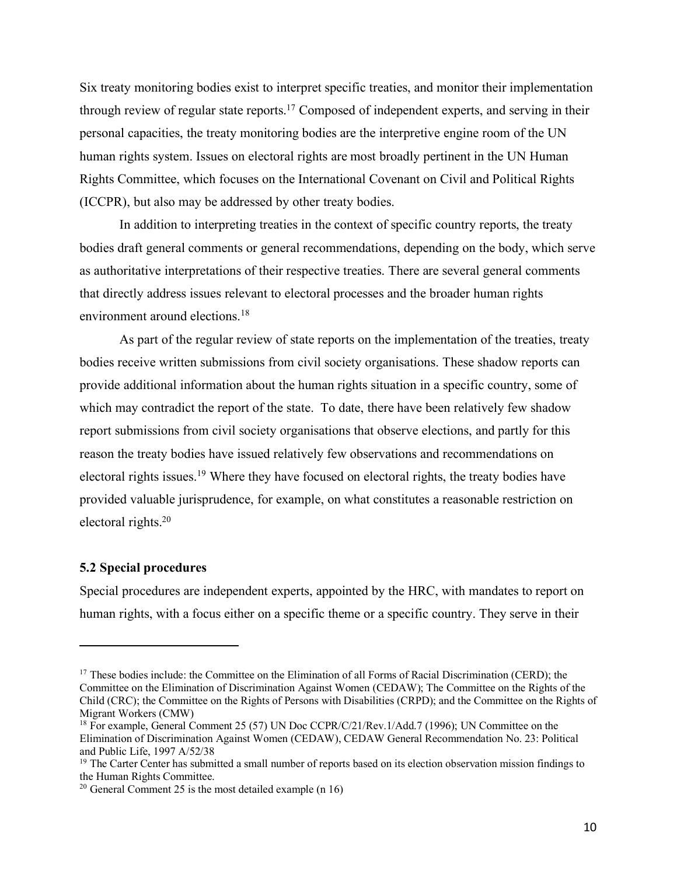Six treaty monitoring bodies exist to interpret specific treaties, and monitor their implementation through review of regular state reports.17 Composed of independent experts, and serving in their personal capacities, the treaty monitoring bodies are the interpretive engine room of the UN human rights system. Issues on electoral rights are most broadly pertinent in the UN Human Rights Committee, which focuses on the International Covenant on Civil and Political Rights (ICCPR), but also may be addressed by other treaty bodies.

In addition to interpreting treaties in the context of specific country reports, the treaty bodies draft general comments or general recommendations, depending on the body, which serve as authoritative interpretations of their respective treaties. There are several general comments that directly address issues relevant to electoral processes and the broader human rights environment around elections.<sup>18</sup>

As part of the regular review of state reports on the implementation of the treaties, treaty bodies receive written submissions from civil society organisations. These shadow reports can provide additional information about the human rights situation in a specific country, some of which may contradict the report of the state. To date, there have been relatively few shadow report submissions from civil society organisations that observe elections, and partly for this reason the treaty bodies have issued relatively few observations and recommendations on electoral rights issues.19 Where they have focused on electoral rights, the treaty bodies have provided valuable jurisprudence, for example, on what constitutes a reasonable restriction on electoral rights. 20

#### **5.2 Special procedures**

 $\overline{a}$ 

Special procedures are independent experts, appointed by the HRC, with mandates to report on human rights, with a focus either on a specific theme or a specific country. They serve in their

<sup>&</sup>lt;sup>17</sup> These bodies include: the Committee on the Elimination of all Forms of Racial Discrimination (CERD); the Committee on the Elimination of Discrimination Against Women (CEDAW); The Committee on the Rights of the Child (CRC); the Committee on the Rights of Persons with Disabilities (CRPD); and the Committee on the Rights of Migrant Workers (CMW)

<sup>18</sup> For example, General Comment 25 (57) UN Doc CCPR/C/21/Rev.1/Add.7 (1996); UN Committee on the Elimination of Discrimination Against Women (CEDAW), CEDAW General Recommendation No. 23: Political and Public Life, 1997 A/52/38<br><sup>19</sup> The Carter Center has submitted a small number of reports based on its election observation mission findings to

the Human Rights Committee.

<sup>&</sup>lt;sup>20</sup> General Comment 25 is the most detailed example  $(n 16)$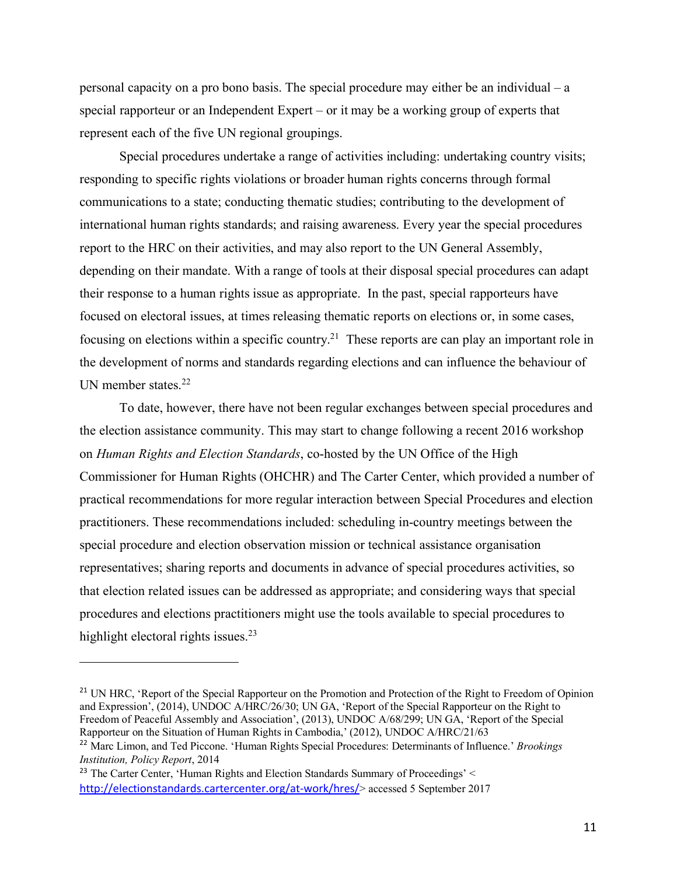personal capacity on a pro bono basis. The special procedure may either be an individual – a special rapporteur or an Independent Expert – or it may be a working group of experts that represent each of the five UN regional groupings.

Special procedures undertake a range of activities including: undertaking country visits; responding to specific rights violations or broader human rights concerns through formal communications to a state; conducting thematic studies; contributing to the development of international human rights standards; and raising awareness. Every year the special procedures report to the HRC on their activities, and may also report to the UN General Assembly, depending on their mandate. With a range of tools at their disposal special procedures can adapt their response to a human rights issue as appropriate. In the past, special rapporteurs have focused on electoral issues, at times releasing thematic reports on elections or, in some cases, focusing on elections within a specific country.21 These reports are can play an important role in the development of norms and standards regarding elections and can influence the behaviour of UN member states.<sup>22</sup>

To date, however, there have not been regular exchanges between special procedures and the election assistance community. This may start to change following a recent 2016 workshop on *Human Rights and Election Standards*, co-hosted by the UN Office of the High Commissioner for Human Rights (OHCHR) and The Carter Center, which provided a number of practical recommendations for more regular interaction between Special Procedures and election practitioners. These recommendations included: scheduling in-country meetings between the special procedure and election observation mission or technical assistance organisation representatives; sharing reports and documents in advance of special procedures activities, so that election related issues can be addressed as appropriate; and considering ways that special procedures and elections practitioners might use the tools available to special procedures to highlight electoral rights issues. $23$ 

<sup>&</sup>lt;sup>21</sup> UN HRC, 'Report of the Special Rapporteur on the Promotion and Protection of the Right to Freedom of Opinion and Expression', (2014), UNDOC A/HRC/26/30; UN GA, 'Report of the Special Rapporteur on the Right to Freedom of Peaceful Assembly and Association', (2013), UNDOC A/68/299; UN GA, 'Report of the Special Rapporteur on the Situation of Human Rights in Cambodia,' (2012), UNDOC A/HRC/21/63

<sup>22</sup> Marc Limon, and Ted Piccone. 'Human Rights Special Procedures: Determinants of Influence.' *Brookings Institution, Policy Report*, 2014

<sup>&</sup>lt;sup>23</sup> The Carter Center, 'Human Rights and Election Standards Summary of Proceedings' < http://electionstandards.cartercenter.org/at-work/hres/> accessed 5 September 2017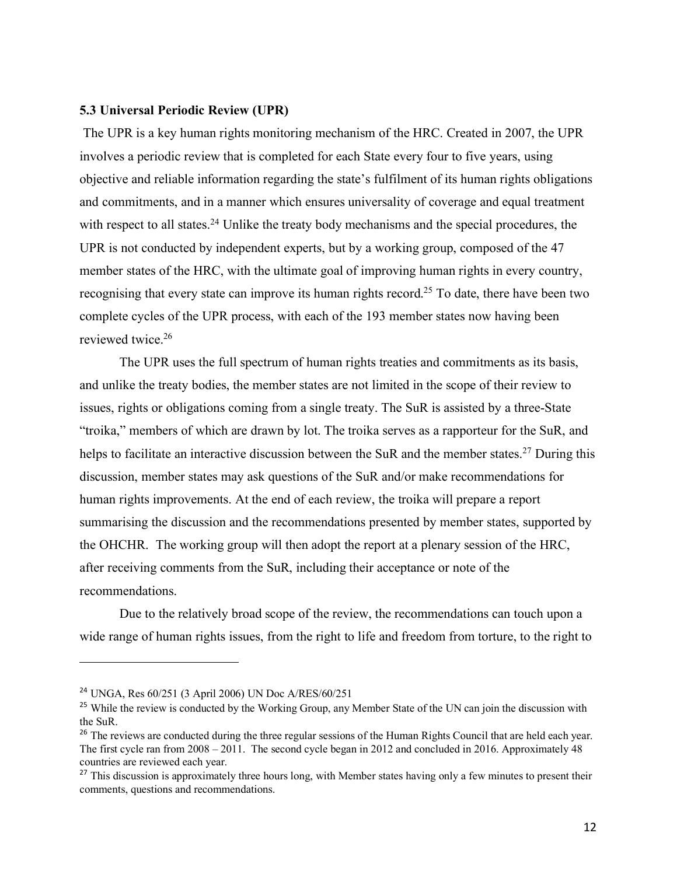#### **5.3 Universal Periodic Review (UPR)**

The UPR is a key human rights monitoring mechanism of the HRC. Created in 2007, the UPR involves a periodic review that is completed for each State every four to five years, using objective and reliable information regarding the state's fulfilment of its human rights obligations and commitments, and in a manner which ensures universality of coverage and equal treatment with respect to all states.<sup>24</sup> Unlike the treaty body mechanisms and the special procedures, the UPR is not conducted by independent experts, but by a working group, composed of the 47 member states of the HRC, with the ultimate goal of improving human rights in every country, recognising that every state can improve its human rights record.<sup>25</sup> To date, there have been two complete cycles of the UPR process, with each of the 193 member states now having been reviewed twice. 26

The UPR uses the full spectrum of human rights treaties and commitments as its basis, and unlike the treaty bodies, the member states are not limited in the scope of their review to issues, rights or obligations coming from a single treaty. The SuR is assisted by a three-State "troika," members of which are drawn by lot. The troika serves as a rapporteur for the SuR, and helps to facilitate an interactive discussion between the SuR and the member states.<sup>27</sup> During this discussion, member states may ask questions of the SuR and/or make recommendations for human rights improvements. At the end of each review, the troika will prepare a report summarising the discussion and the recommendations presented by member states, supported by the OHCHR. The working group will then adopt the report at a plenary session of the HRC, after receiving comments from the SuR, including their acceptance or note of the recommendations.

Due to the relatively broad scope of the review, the recommendations can touch upon a wide range of human rights issues, from the right to life and freedom from torture, to the right to

<sup>24</sup> UNGA, Res 60/251 (3 April 2006) UN Doc A/RES/60/251

<sup>&</sup>lt;sup>25</sup> While the review is conducted by the Working Group, any Member State of the UN can join the discussion with the SuR.

<sup>&</sup>lt;sup>26</sup> The reviews are conducted during the three regular sessions of the Human Rights Council that are held each year. The first cycle ran from 2008 – 2011. The second cycle began in 2012 and concluded in 2016. Approximately 48 countries are reviewed each year.

<sup>&</sup>lt;sup>27</sup> This discussion is approximately three hours long, with Member states having only a few minutes to present their comments, questions and recommendations.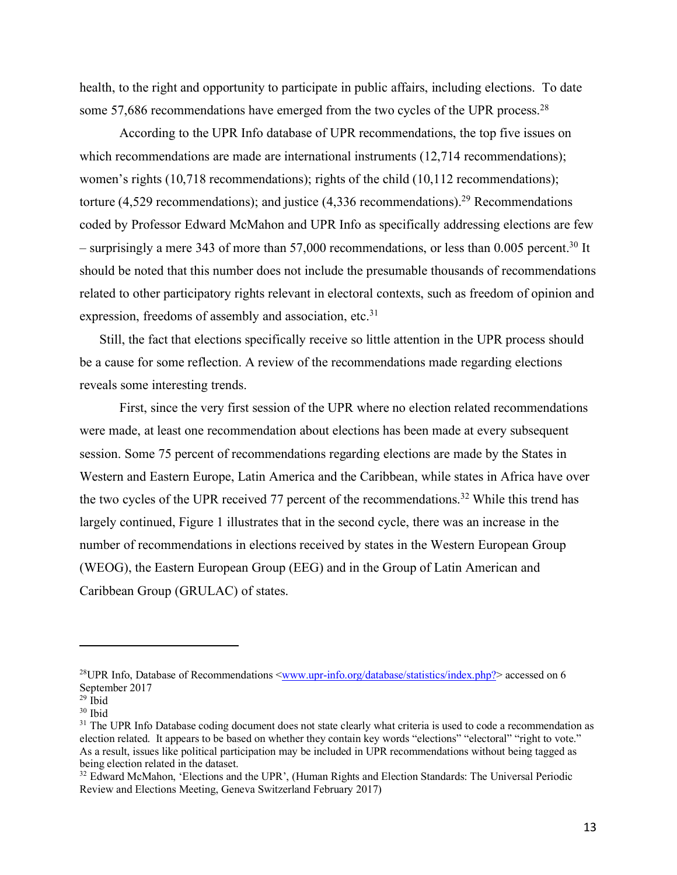health, to the right and opportunity to participate in public affairs, including elections. To date some 57,686 recommendations have emerged from the two cycles of the UPR process.<sup>28</sup>

According to the UPR Info database of UPR recommendations, the top five issues on which recommendations are made are international instruments (12,714 recommendations); women's rights (10,718 recommendations); rights of the child (10,112 recommendations); torture  $(4,529$  recommendations); and justice  $(4,336$  recommendations).<sup>29</sup> Recommendations coded by Professor Edward McMahon and UPR Info as specifically addressing elections are few – surprisingly a mere 343 of more than 57,000 recommendations, or less than 0.005 percent.30 It should be noted that this number does not include the presumable thousands of recommendations related to other participatory rights relevant in electoral contexts, such as freedom of opinion and expression, freedoms of assembly and association, etc.<sup>31</sup>

Still, the fact that elections specifically receive so little attention in the UPR process should be a cause for some reflection. A review of the recommendations made regarding elections reveals some interesting trends.

First, since the very first session of the UPR where no election related recommendations were made, at least one recommendation about elections has been made at every subsequent session. Some 75 percent of recommendations regarding elections are made by the States in Western and Eastern Europe, Latin America and the Caribbean, while states in Africa have over the two cycles of the UPR received 77 percent of the recommendations.<sup>32</sup> While this trend has largely continued, Figure 1 illustrates that in the second cycle, there was an increase in the number of recommendations in elections received by states in the Western European Group (WEOG), the Eastern European Group (EEG) and in the Group of Latin American and Caribbean Group (GRULAC) of states.

<sup>&</sup>lt;sup>28</sup> UPR Info, Database of Recommendations  $\langle$ www.upr-info.org/database/statistics/index.php?> accessed on 6 September 2017<br><sup>29</sup> Ibid

 $30$  Ibid

<sup>&</sup>lt;sup>31</sup> The UPR Info Database coding document does not state clearly what criteria is used to code a recommendation as election related. It appears to be based on whether they contain key words "elections" "electoral" "right to vote." As a result, issues like political participation may be included in UPR recommendations without being tagged as being election related in the dataset.

<sup>&</sup>lt;sup>32</sup> Edward McMahon, 'Elections and the UPR', (Human Rights and Election Standards: The Universal Periodic Review and Elections Meeting, Geneva Switzerland February 2017)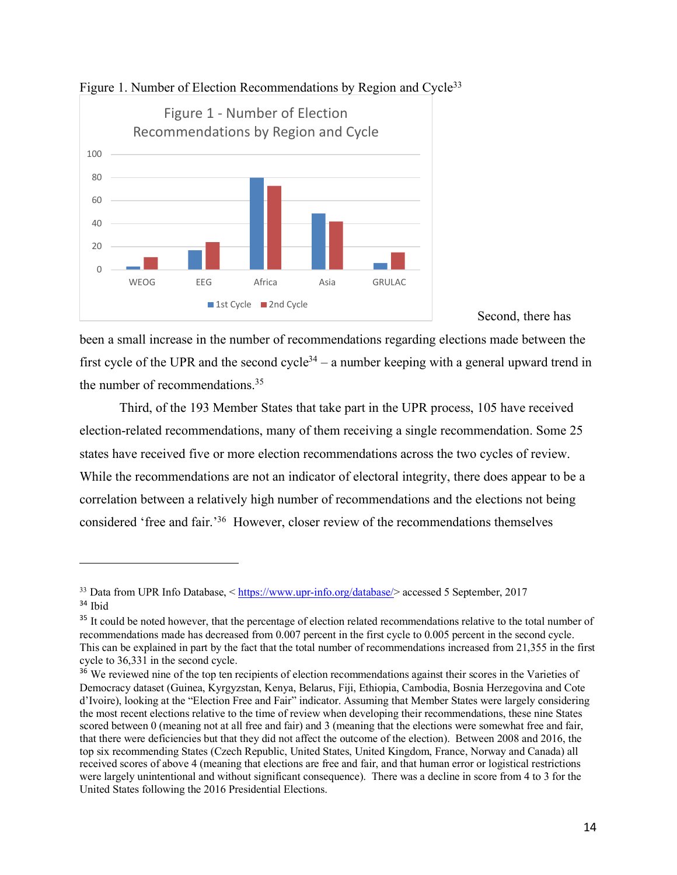

### Figure 1. Number of Election Recommendations by Region and Cycle<sup>33</sup>

Second, there has

been a small increase in the number of recommendations regarding elections made between the first cycle of the UPR and the second cycle<sup>34</sup> – a number keeping with a general upward trend in the number of recommendations.<sup>35</sup>

Third, of the 193 Member States that take part in the UPR process, 105 have received election-related recommendations, many of them receiving a single recommendation. Some 25 states have received five or more election recommendations across the two cycles of review. While the recommendations are not an indicator of electoral integrity, there does appear to be a correlation between a relatively high number of recommendations and the elections not being considered 'free and fair.' 36 However, closer review of the recommendations themselves

<sup>33</sup> Data from UPR Info Database, < https://www.upr-info.org/database/> accessed 5 September, 2017 <sup>34</sup> Ibid

<sup>&</sup>lt;sup>35</sup> It could be noted however, that the percentage of election related recommendations relative to the total number of recommendations made has decreased from 0.007 percent in the first cycle to 0.005 percent in the second cycle. This can be explained in part by the fact that the total number of recommendations increased from 21,355 in the first cycle to 36,331 in the second cycle.

<sup>&</sup>lt;sup>36</sup> We reviewed nine of the top ten recipients of election recommendations against their scores in the Varieties of Democracy dataset (Guinea, Kyrgyzstan, Kenya, Belarus, Fiji, Ethiopia, Cambodia, Bosnia Herzegovina and Cote d'Ivoire), looking at the "Election Free and Fair" indicator. Assuming that Member States were largely considering the most recent elections relative to the time of review when developing their recommendations, these nine States scored between 0 (meaning not at all free and fair) and 3 (meaning that the elections were somewhat free and fair, that there were deficiencies but that they did not affect the outcome of the election). Between 2008 and 2016, the top six recommending States (Czech Republic, United States, United Kingdom, France, Norway and Canada) all received scores of above 4 (meaning that elections are free and fair, and that human error or logistical restrictions were largely unintentional and without significant consequence). There was a decline in score from 4 to 3 for the United States following the 2016 Presidential Elections.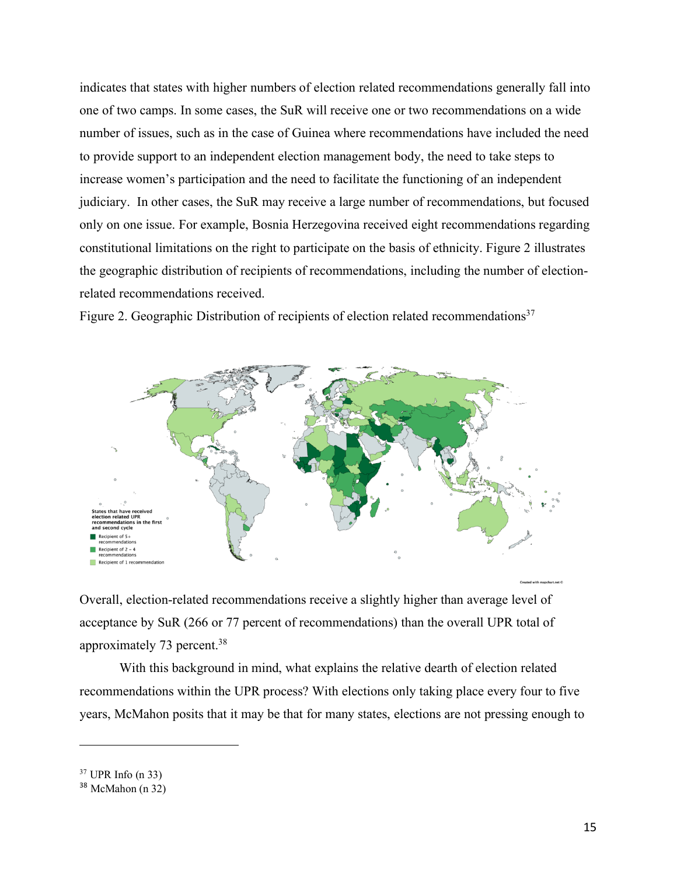indicates that states with higher numbers of election related recommendations generally fall into one of two camps. In some cases, the SuR will receive one or two recommendations on a wide number of issues, such as in the case of Guinea where recommendations have included the need to provide support to an independent election management body, the need to take steps to increase women's participation and the need to facilitate the functioning of an independent judiciary. In other cases, the SuR may receive a large number of recommendations, but focused only on one issue. For example, Bosnia Herzegovina received eight recommendations regarding constitutional limitations on the right to participate on the basis of ethnicity. Figure 2 illustrates the geographic distribution of recipients of recommendations, including the number of electionrelated recommendations received.

Figure 2. Geographic Distribution of recipients of election related recommendations<sup>37</sup>



Overall, election-related recommendations receive a slightly higher than average level of acceptance by SuR (266 or 77 percent of recommendations) than the overall UPR total of approximately 73 percent.38

With this background in mind, what explains the relative dearth of election related recommendations within the UPR process? With elections only taking place every four to five years, McMahon posits that it may be that for many states, elections are not pressing enough to

<sup>37</sup> UPR Info (n 33)

<sup>38</sup> McMahon (n 32)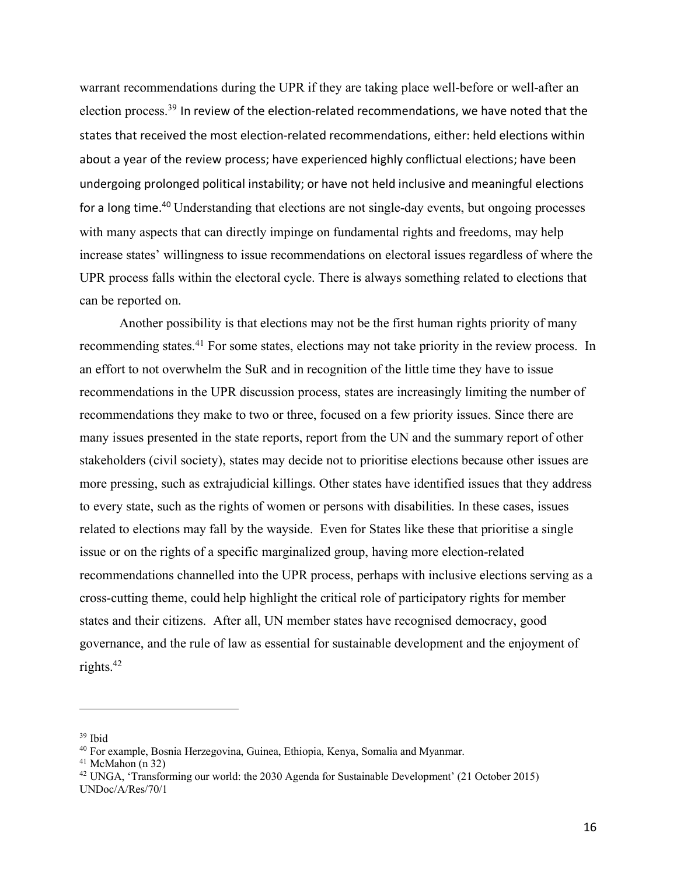warrant recommendations during the UPR if they are taking place well-before or well-after an election process.<sup>39</sup> In review of the election-related recommendations, we have noted that the states that received the most election-related recommendations, either: held elections within about a year of the review process; have experienced highly conflictual elections; have been undergoing prolonged political instability; or have not held inclusive and meaningful elections for a long time.<sup>40</sup> Understanding that elections are not single-day events, but ongoing processes with many aspects that can directly impinge on fundamental rights and freedoms, may help increase states' willingness to issue recommendations on electoral issues regardless of where the UPR process falls within the electoral cycle. There is always something related to elections that can be reported on.

Another possibility is that elections may not be the first human rights priority of many recommending states.<sup>41</sup> For some states, elections may not take priority in the review process. In an effort to not overwhelm the SuR and in recognition of the little time they have to issue recommendations in the UPR discussion process, states are increasingly limiting the number of recommendations they make to two or three, focused on a few priority issues. Since there are many issues presented in the state reports, report from the UN and the summary report of other stakeholders (civil society), states may decide not to prioritise elections because other issues are more pressing, such as extrajudicial killings. Other states have identified issues that they address to every state, such as the rights of women or persons with disabilities. In these cases, issues related to elections may fall by the wayside. Even for States like these that prioritise a single issue or on the rights of a specific marginalized group, having more election-related recommendations channelled into the UPR process, perhaps with inclusive elections serving as a cross-cutting theme, could help highlight the critical role of participatory rights for member states and their citizens. After all, UN member states have recognised democracy, good governance, and the rule of law as essential for sustainable development and the enjoyment of rights.42

<sup>39</sup> Ibid

<sup>40</sup> For example, Bosnia Herzegovina, Guinea, Ethiopia, Kenya, Somalia and Myanmar.

 $41$  McMahon (n 32)

<sup>42</sup> UNGA, 'Transforming our world: the 2030 Agenda for Sustainable Development' (21 October 2015) UNDoc/A/Res/70/1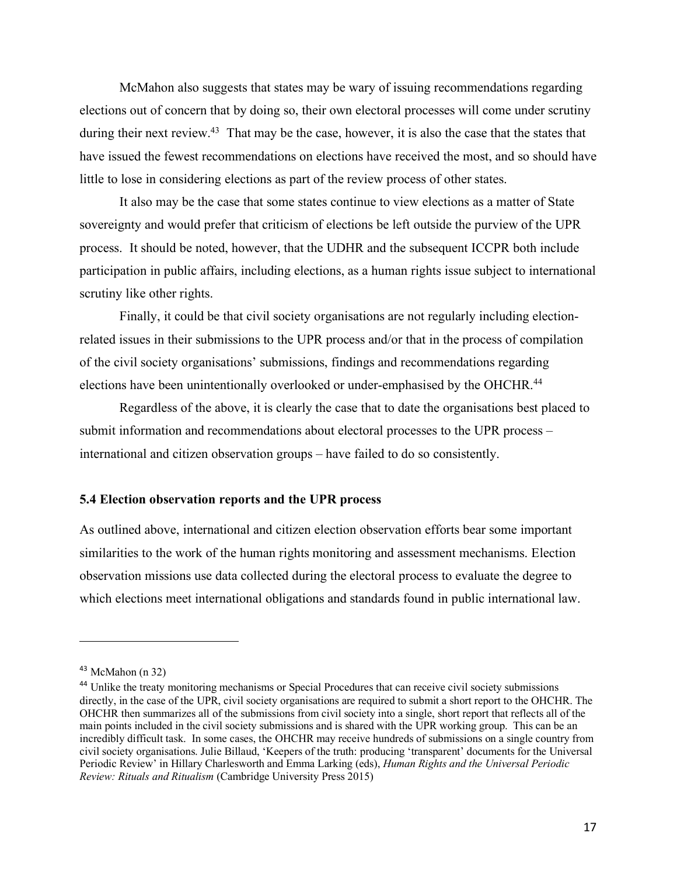McMahon also suggests that states may be wary of issuing recommendations regarding elections out of concern that by doing so, their own electoral processes will come under scrutiny during their next review.<sup>43</sup> That may be the case, however, it is also the case that the states that have issued the fewest recommendations on elections have received the most, and so should have little to lose in considering elections as part of the review process of other states.

It also may be the case that some states continue to view elections as a matter of State sovereignty and would prefer that criticism of elections be left outside the purview of the UPR process. It should be noted, however, that the UDHR and the subsequent ICCPR both include participation in public affairs, including elections, as a human rights issue subject to international scrutiny like other rights.

Finally, it could be that civil society organisations are not regularly including electionrelated issues in their submissions to the UPR process and/or that in the process of compilation of the civil society organisations' submissions, findings and recommendations regarding elections have been unintentionally overlooked or under-emphasised by the OHCHR.<sup>44</sup>

Regardless of the above, it is clearly the case that to date the organisations best placed to submit information and recommendations about electoral processes to the UPR process – international and citizen observation groups – have failed to do so consistently.

#### **5.4 Election observation reports and the UPR process**

As outlined above, international and citizen election observation efforts bear some important similarities to the work of the human rights monitoring and assessment mechanisms. Election observation missions use data collected during the electoral process to evaluate the degree to which elections meet international obligations and standards found in public international law.

<sup>43</sup> McMahon (n 32)

<sup>&</sup>lt;sup>44</sup> Unlike the treaty monitoring mechanisms or Special Procedures that can receive civil society submissions directly, in the case of the UPR, civil society organisations are required to submit a short report to the OHCHR. The OHCHR then summarizes all of the submissions from civil society into a single, short report that reflects all of the main points included in the civil society submissions and is shared with the UPR working group. This can be an incredibly difficult task. In some cases, the OHCHR may receive hundreds of submissions on a single country from civil society organisations. Julie Billaud, 'Keepers of the truth: producing 'transparent' documents for the Universal Periodic Review' in Hillary Charlesworth and Emma Larking (eds), *Human Rights and the Universal Periodic Review: Rituals and Ritualism* (Cambridge University Press 2015)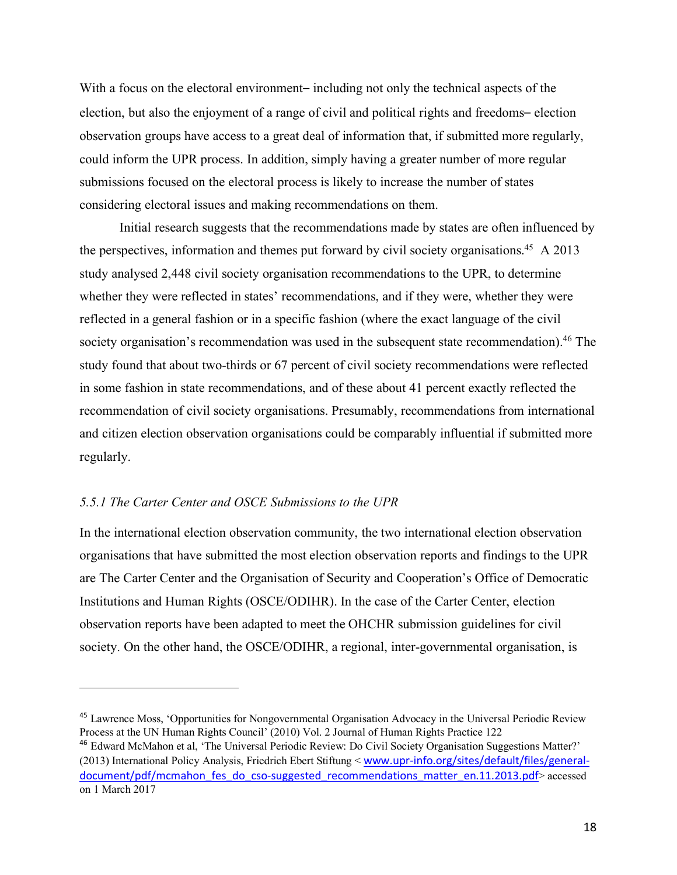With a focus on the electoral environment– including not only the technical aspects of the election, but also the enjoyment of a range of civil and political rights and freedoms– election observation groups have access to a great deal of information that, if submitted more regularly, could inform the UPR process. In addition, simply having a greater number of more regular submissions focused on the electoral process is likely to increase the number of states considering electoral issues and making recommendations on them.

Initial research suggests that the recommendations made by states are often influenced by the perspectives, information and themes put forward by civil society organisations.<sup>45</sup> A 2013 study analysed 2,448 civil society organisation recommendations to the UPR, to determine whether they were reflected in states' recommendations, and if they were, whether they were reflected in a general fashion or in a specific fashion (where the exact language of the civil society organisation's recommendation was used in the subsequent state recommendation).<sup>46</sup> The study found that about two-thirds or 67 percent of civil society recommendations were reflected in some fashion in state recommendations, and of these about 41 percent exactly reflected the recommendation of civil society organisations. Presumably, recommendations from international and citizen election observation organisations could be comparably influential if submitted more regularly.

#### *5.5.1 The Carter Center and OSCE Submissions to the UPR*

 $\overline{a}$ 

In the international election observation community, the two international election observation organisations that have submitted the most election observation reports and findings to the UPR are The Carter Center and the Organisation of Security and Cooperation's Office of Democratic Institutions and Human Rights (OSCE/ODIHR). In the case of the Carter Center, election observation reports have been adapted to meet the OHCHR submission guidelines for civil society. On the other hand, the OSCE/ODIHR, a regional, inter-governmental organisation, is

<sup>45</sup> Lawrence Moss, 'Opportunities for Nongovernmental Organisation Advocacy in the Universal Periodic Review Process at the UN Human Rights Council' (2010) Vol. 2 Journal of Human Rights Practice 122

<sup>46</sup> Edward McMahon et al, 'The Universal Periodic Review: Do Civil Society Organisation Suggestions Matter?' (2013) International Policy Analysis, Friedrich Ebert Stiftung < www.upr-info.org/sites/default/files/generaldocument/pdf/mcmahon\_fes\_do\_cso-suggested\_recommendations\_matter\_en.11.2013.pdf> accessed on 1 March 2017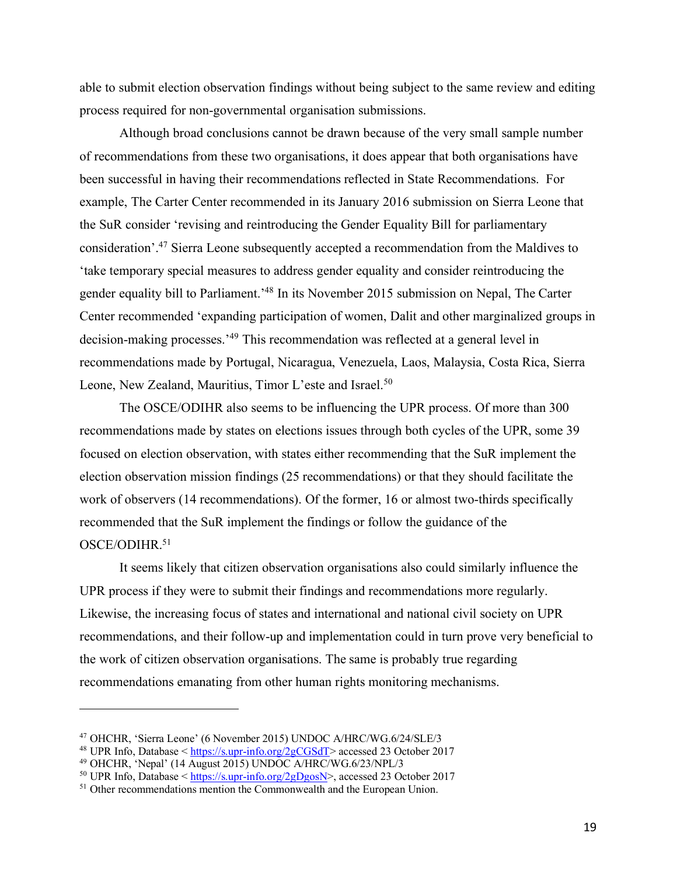able to submit election observation findings without being subject to the same review and editing process required for non-governmental organisation submissions.

Although broad conclusions cannot be drawn because of the very small sample number of recommendations from these two organisations, it does appear that both organisations have been successful in having their recommendations reflected in State Recommendations. For example, The Carter Center recommended in its January 2016 submission on Sierra Leone that the SuR consider 'revising and reintroducing the Gender Equality Bill for parliamentary consideration'. <sup>47</sup> Sierra Leone subsequently accepted a recommendation from the Maldives to 'take temporary special measures to address gender equality and consider reintroducing the gender equality bill to Parliament.<sup>148</sup> In its November 2015 submission on Nepal, The Carter Center recommended 'expanding participation of women, Dalit and other marginalized groups in decision-making processes.' <sup>49</sup> This recommendation was reflected at a general level in recommendations made by Portugal, Nicaragua, Venezuela, Laos, Malaysia, Costa Rica, Sierra Leone, New Zealand, Mauritius, Timor L'este and Israel.<sup>50</sup>

The OSCE/ODIHR also seems to be influencing the UPR process. Of more than 300 recommendations made by states on elections issues through both cycles of the UPR, some 39 focused on election observation, with states either recommending that the SuR implement the election observation mission findings (25 recommendations) or that they should facilitate the work of observers (14 recommendations). Of the former, 16 or almost two-thirds specifically recommended that the SuR implement the findings or follow the guidance of the OSCE/ODIHR.51

It seems likely that citizen observation organisations also could similarly influence the UPR process if they were to submit their findings and recommendations more regularly. Likewise, the increasing focus of states and international and national civil society on UPR recommendations, and their follow-up and implementation could in turn prove very beneficial to the work of citizen observation organisations. The same is probably true regarding recommendations emanating from other human rights monitoring mechanisms.

<sup>47</sup> OHCHR, 'Sierra Leone' (6 November 2015) UNDOC A/HRC/WG.6/24/SLE/3

<sup>&</sup>lt;sup>48</sup> UPR Info, Database  $\leq$  https://s.upr-info.org/2gCGSdT> accessed 23 October 2017

<sup>49</sup> OHCHR, 'Nepal' (14 August 2015) UNDOC A/HRC/WG.6/23/NPL/3

<sup>&</sup>lt;sup>50</sup> UPR Info, Database < https://s.upr-info.org/2gDgosN>, accessed 23 October 2017

<sup>&</sup>lt;sup>51</sup> Other recommendations mention the Commonwealth and the European Union.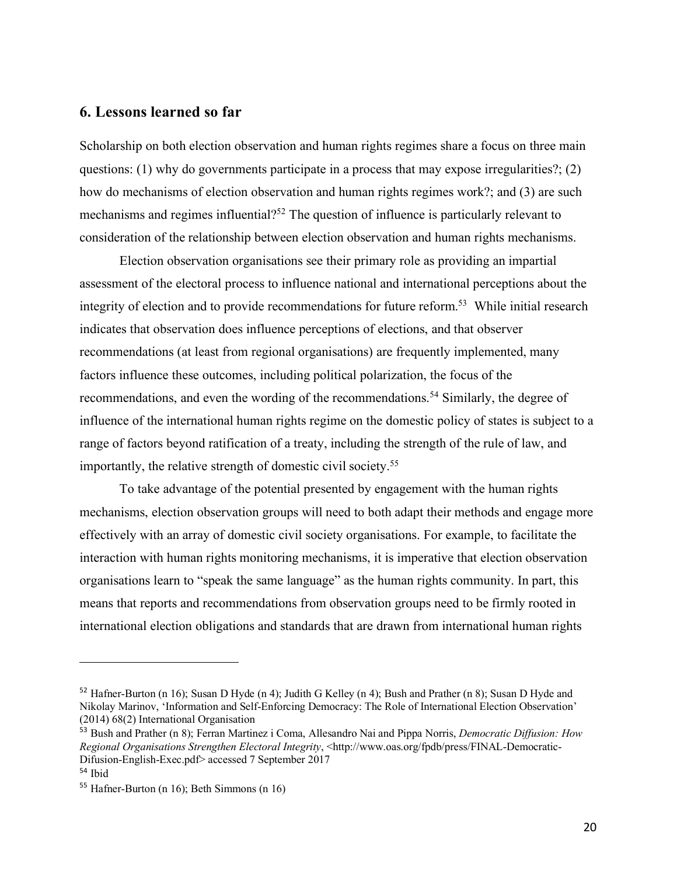# **6. Lessons learned so far**

Scholarship on both election observation and human rights regimes share a focus on three main questions: (1) why do governments participate in a process that may expose irregularities?; (2) how do mechanisms of election observation and human rights regimes work?; and (3) are such mechanisms and regimes influential?<sup>52</sup> The question of influence is particularly relevant to consideration of the relationship between election observation and human rights mechanisms.

Election observation organisations see their primary role as providing an impartial assessment of the electoral process to influence national and international perceptions about the integrity of election and to provide recommendations for future reform. 53 While initial research indicates that observation does influence perceptions of elections, and that observer recommendations (at least from regional organisations) are frequently implemented, many factors influence these outcomes, including political polarization, the focus of the recommendations, and even the wording of the recommendations.<sup>54</sup> Similarly, the degree of influence of the international human rights regime on the domestic policy of states is subject to a range of factors beyond ratification of a treaty, including the strength of the rule of law, and importantly, the relative strength of domestic civil society.55

To take advantage of the potential presented by engagement with the human rights mechanisms, election observation groups will need to both adapt their methods and engage more effectively with an array of domestic civil society organisations. For example, to facilitate the interaction with human rights monitoring mechanisms, it is imperative that election observation organisations learn to "speak the same language" as the human rights community. In part, this means that reports and recommendations from observation groups need to be firmly rooted in international election obligations and standards that are drawn from international human rights

<sup>52</sup> Hafner-Burton (n 16); Susan D Hyde (n 4); Judith G Kelley (n 4); Bush and Prather (n 8); Susan D Hyde and Nikolay Marinov, 'Information and Self-Enforcing Democracy: The Role of International Election Observation' (2014) 68(2) International Organisation

<sup>53</sup> Bush and Prather (n 8); Ferran Martinez i Coma, Allesandro Nai and Pippa Norris, *Democratic Diffusion: How Regional Organisations Strengthen Electoral Integrity*, <http://www.oas.org/fpdb/press/FINAL-Democratic-Difusion-English-Exec.pdf> accessed 7 September 2017

<sup>54</sup> Ibid

<sup>55</sup> Hafner-Burton (n 16); Beth Simmons (n 16)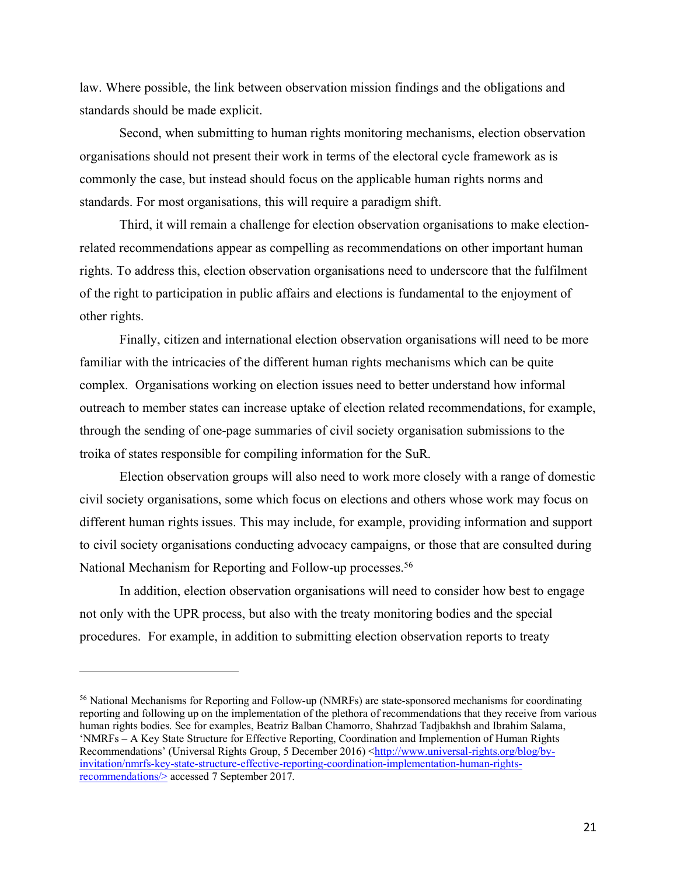law. Where possible, the link between observation mission findings and the obligations and standards should be made explicit.

Second, when submitting to human rights monitoring mechanisms, election observation organisations should not present their work in terms of the electoral cycle framework as is commonly the case, but instead should focus on the applicable human rights norms and standards. For most organisations, this will require a paradigm shift.

Third, it will remain a challenge for election observation organisations to make electionrelated recommendations appear as compelling as recommendations on other important human rights. To address this, election observation organisations need to underscore that the fulfilment of the right to participation in public affairs and elections is fundamental to the enjoyment of other rights.

Finally, citizen and international election observation organisations will need to be more familiar with the intricacies of the different human rights mechanisms which can be quite complex. Organisations working on election issues need to better understand how informal outreach to member states can increase uptake of election related recommendations, for example, through the sending of one-page summaries of civil society organisation submissions to the troika of states responsible for compiling information for the SuR.

Election observation groups will also need to work more closely with a range of domestic civil society organisations, some which focus on elections and others whose work may focus on different human rights issues. This may include, for example, providing information and support to civil society organisations conducting advocacy campaigns, or those that are consulted during National Mechanism for Reporting and Follow-up processes.<sup>56</sup>

In addition, election observation organisations will need to consider how best to engage not only with the UPR process, but also with the treaty monitoring bodies and the special procedures. For example, in addition to submitting election observation reports to treaty

<sup>56</sup> National Mechanisms for Reporting and Follow-up (NMRFs) are state-sponsored mechanisms for coordinating reporting and following up on the implementation of the plethora of recommendations that they receive from various human rights bodies. See for examples, Beatriz Balban Chamorro, Shahrzad Tadjbakhsh and Ibrahim Salama, 'NMRFs – A Key State Structure for Effective Reporting, Coordination and Implemention of Human Rights Recommendations' (Universal Rights Group, 5 December 2016) <http://www.universal-rights.org/blog/byinvitation/nmrfs-key-state-structure-effective-reporting-coordination-implementation-human-rightsrecommendations/> accessed 7 September 2017.